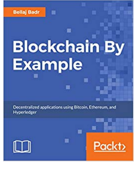## **Bellaj Badr**

## **Blockchain By Example**

廳

暦

Decentralized applications using Bitcoin, Ethereum, and Hyperledger

黚

目



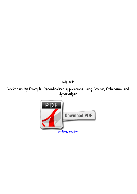*Bellaj Badr*

*Blockchain By Example: Decentralized applications using Bitcoin, Ethereum, and Hyperledger*

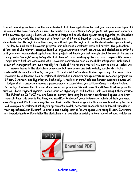*Dive into working mechanics of the decentralized blockchain applications to build your own scalable dapps. It explains all the basic concepts required to develop your own intermediate projects.Build your own currency and a payment app using BitcoinBuild Internet3 Dapps and supply chain system using Hyperledger. Blockchain technology made the backbone of a fresh type of internet based on trust, disintermediation, and decentralization.Through the entire book, we will walk you through an in depth step-by-step approach using solidity to build three blockchain projects with different complexity levels and hurdles. This publication offers you all the relevant concepts linked to cryptocurrencies, smart contracts, and blockchain in order to build your own decentralized applications. Each project will teach you just enough about blockchain to end up being productive right away.Integrate blockchain into your existing systems in your company. We covers major issues that are associated with Blockchain ecosystems such as scalability, integration, distributed document management and even more.By the finish of this reserve, you will not only be able to tackle the normal issues in the blockchain ecosystem but also design and build reliable, scalable distributed systems.Write smart contracts, run your ICO and build tontine decentralized app using EthereumExplore Blockchain to understand how to implement distributed document management.Build blockchain projects on Bitcoin, Ethereum, and Hyperledger. Technically, it really is an immutable and tamper-evidence distributed ledger of all transactions across a peer-to-peer network.What you will learnGrasp the decentralized technology fundamentals to understand blockchain principles. We will cover the different set of projects such as Bitcoin Payment System, Source Chain on Hyperledger, and Tontine Bank Dapp using Ethereum.Who This Publication Is ForIf you are keen on learning developing blockchain decentralized applications from scratch, then this book is the thing you need.Key FeaturesA go-to information which will help you know everything about Blockchain ecosystem and their related terminologiesPractical approach and easy to check out examples to implement intelligent agreements, wallet, consensus protocols and additional principles in your applicationsClear blueprint to create and develop your effective applications using Bitcoin, Ethereum, and HyperledgerBook DescriptionThe blockchain is a revolution promising a fresh world without middlemen.*



*[continue reading](http://bit.ly/2Tge8Fv)*